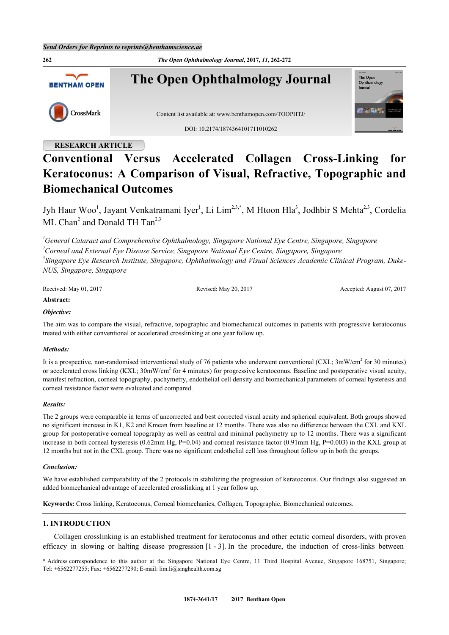

# **RESEARCH ARTICLE**

# **Conventional Versus Accelerated Collagen Cross-Linking for Keratoconus: A Comparison of Visual, Refractive, Topographic and Biomechanical Outcomes**

Jyh Haur Woo<sup>[1](#page-0-0)</sup>, Jayant Venkatramani Iyer<sup>1</sup>, Li Lim<sup>[2](#page-0-1)[,3](#page-0-2)[,\\*](#page-0-3)</sup>, M Htoon Hla<sup>[3](#page-0-2)</sup>, Jodhbir S Mehta<sup>2,3</sup>, Cordelia ML Chan<sup>[2](#page-0-1)</sup> and Donald TH Tan<sup>[2,](#page-0-1)[3](#page-0-2)</sup>

<span id="page-0-2"></span><span id="page-0-1"></span><span id="page-0-0"></span>*General Cataract and Comprehensive Ophthalmology, Singapore National Eye Centre, Singapore, Singapore Corneal and External Eye Disease Service, Singapore National Eye Centre, Singapore, Singapore Singapore Eye Research Institute, Singapore, Ophthalmology and Visual Sciences Academic Clinical Program, Duke-NUS, Singapore, Singapore*

| Received: May 01, 2017 | Revised: May 20, 2017 | Accepted: August 07, 2017 |
|------------------------|-----------------------|---------------------------|
|                        |                       |                           |

### **Abstract:**

## *Objective:*

The aim was to compare the visual, refractive, topographic and biomechanical outcomes in patients with progressive keratoconus treated with either conventional or accelerated crosslinking at one year follow up.

#### *Methods:*

It is a prospective, non-randomised interventional study of 76 patients who underwent conventional (CXL; 3mW/cm<sup>2</sup> for 30 minutes) or accelerated cross linking (KXL; 30mW/cm<sup>2</sup> for 4 minutes) for progressive keratoconus. Baseline and postoperative visual acuity, manifest refraction, corneal topography, pachymetry, endothelial cell density and biomechanical parameters of corneal hysteresis and corneal resistance factor were evaluated and compared.

#### *Results:*

The 2 groups were comparable in terms of uncorrected and best corrected visual acuity and spherical equivalent. Both groups showed no significant increase in K1, K2 and Kmean from baseline at 12 months. There was also no difference between the CXL and KXL group for postoperative corneal topography as well as central and minimal pachymetry up to 12 months. There was a significant increase in both corneal hysteresis (0.62mm Hg,  $P=0.04$ ) and corneal resistance factor (0.91mm Hg,  $P=0.003$ ) in the KXL group at 12 months but not in the CXL group. There was no significant endothelial cell loss throughout follow up in both the groups.

#### *Conclusion:*

We have established comparability of the 2 protocols in stabilizing the progression of keratoconus. Our findings also suggested an added biomechanical advantage of accelerated crosslinking at 1 year follow up.

**Keywords:** Cross linking, Keratoconus, Corneal biomechanics, Collagen, Topographic, Biomechanical outcomes.

## **1. INTRODUCTION**

Collagen crosslinking is an established treatment for keratoconus and other ectatic corneal disorders, with proven efficacy in slowing or halting disease progression [[1](#page-8-0) - [3](#page-8-1)]. In the procedure, the induction of cross-links between

<span id="page-0-3"></span><sup>\*</sup> Address correspondence to this author at the Singapore National Eye Centre, 11 Third Hospital Avenue, Singapore 168751, Singapore; Tel: +6562277255; Fax: +6562277290; E-mail: [lim.li@singhealth.com.sg](mailto:lim.li@singhealth.com.sg)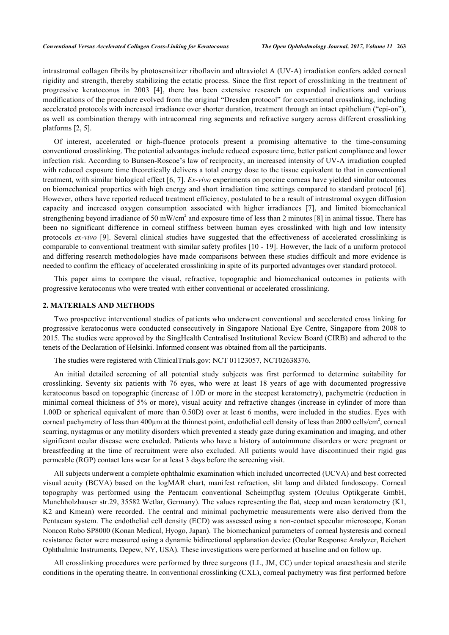intrastromal collagen fibrils by photosensitizer riboflavin and ultraviolet A (UV-A) irradiation confers added corneal rigidity and strength, thereby stabilizing the ectatic process. Since the first report of crosslinking in the treatment of progressive keratoconus in 2003 [\[4](#page-8-2)], there has been extensive research on expanded indications and various modifications of the procedure evolved from the original "Dresden protocol" for conventional crosslinking, including accelerated protocols with increased irradiance over shorter duration, treatment through an intact epithelium ("epi-on"), as well as combination therapy with intracorneal ring segments and refractive surgery across different crosslinking platforms [[2,](#page-8-3) [5\]](#page-8-4).

Of interest, accelerated or high-fluence protocols present a promising alternative to the time-consuming conventional crosslinking. The potential advantages include reduced exposure time, better patient compliance and lower infection risk. According to Bunsen-Roscoe's law of reciprocity, an increased intensity of UV-A irradiation coupled with reduced exposure time theoretically delivers a total energy dose to the tissue equivalent to that in conventional treatment, with similar biological effect [[6,](#page-8-5) [7](#page-8-6)]. *Ex-vivo* experiments on porcine corneas have yielded similar outcomes on biomechanical properties with high energy and short irradiation time settings compared to standard protocol [[6\]](#page-8-5). However, others have reported reduced treatment efficiency, postulated to be a result of intrastromal oxygen diffusion capacity and increased oxygen consumption associated with higher irradiances[[7\]](#page-8-6), and limited biomechanical strengthening beyond irradiance of 50 mW/cm<sup>2</sup> and exposure time of less than 2 minutes [[8](#page-9-0)] in animal tissue. There has been no significant difference in corneal stiffness between human eyes crosslinked with high and low intensity protocols *ex-vivo* [[9](#page-9-1)]. Several clinical studies have suggested that the effectiveness of accelerated crosslinking is comparable to conventional treatment with similar safety profiles [[10](#page-9-2) - [19\]](#page-9-3). However, the lack of a uniform protocol and differing research methodologies have made comparisons between these studies difficult and more evidence is needed to confirm the efficacy of accelerated crosslinking in spite of its purported advantages over standard protocol.

This paper aims to compare the visual, refractive, topographic and biomechanical outcomes in patients with progressive keratoconus who were treated with either conventional or accelerated crosslinking.

#### **2. MATERIALS AND METHODS**

Two prospective interventional studies of patients who underwent conventional and accelerated cross linking for progressive keratoconus were conducted consecutively in Singapore National Eye Centre, Singapore from 2008 to 2015. The studies were approved by the SingHealth Centralised Institutional Review Board (CIRB) and adhered to the tenets of the Declaration of Helsinki. Informed consent was obtained from all the participants.

The studies were registered with ClinicalTrials.gov: NCT 01123057, NCT02638376.

An initial detailed screening of all potential study subjects was first performed to determine suitability for crosslinking. Seventy six patients with 76 eyes, who were at least 18 years of age with documented progressive keratoconus based on topographic (increase of 1.0D or more in the steepest keratometry), pachymetric (reduction in minimal corneal thickness of 5% or more), visual acuity and refractive changes (increase in cylinder of more than 1.00D or spherical equivalent of more than 0.50D) over at least 6 months, were included in the studies. Eyes with corneal pachymetry of less than 400 $\mu$ m at the thinnest point, endothelial cell density of less than 2000 cells/cm<sup>2</sup>, corneal scarring, nystagmus or any motility disorders which prevented a steady gaze during examination and imaging, and other significant ocular disease were excluded. Patients who have a history of autoimmune disorders or were pregnant or breastfeeding at the time of recruitment were also excluded. All patients would have discontinued their rigid gas permeable (RGP) contact lens wear for at least 3 days before the screening visit.

All subjects underwent a complete ophthalmic examination which included uncorrected (UCVA) and best corrected visual acuity (BCVA) based on the logMAR chart, manifest refraction, slit lamp and dilated fundoscopy. Corneal topography was performed using the Pentacam conventional Scheimpflug system (Oculus Optikgerate GmbH, Munchholzhauser str.29, 35582 Wetlar, Germany). The values representing the flat, steep and mean keratometry (K1, K2 and Kmean) were recorded. The central and minimal pachymetric measurements were also derived from the Pentacam system. The endothelial cell density (ECD) was assessed using a non-contact specular microscope, Konan Noncon Robo SP8000 (Konan Medical, Hyogo, Japan). The biomechanical parameters of corneal hysteresis and corneal resistance factor were measured using a dynamic bidirectional applanation device (Ocular Response Analyzer, Reichert Ophthalmic Instruments, Depew, NY, USA). These investigations were performed at baseline and on follow up.

All crosslinking procedures were performed by three surgeons (LL, JM, CC) under topical anaesthesia and sterile conditions in the operating theatre. In conventional crosslinking (CXL), corneal pachymetry was first performed before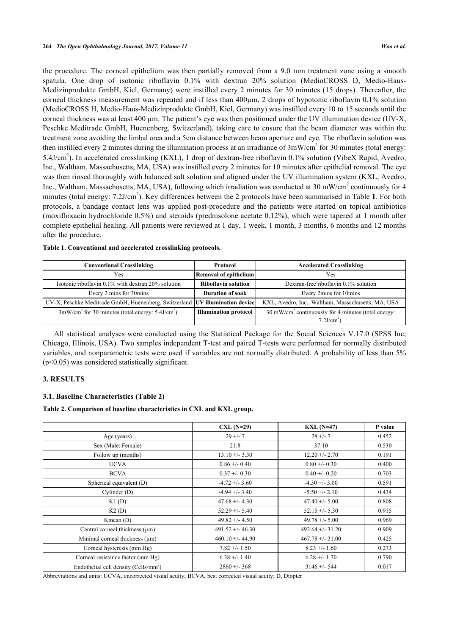the procedure. The corneal epithelium was then partially removed from a 9.0 mm treatment zone using a smooth spatula. One drop of isotonic riboflavin 0.1% with dextran 20% solution (MedioCROSS D, Medio-Haus-Medizinprodukte GmbH, Kiel, Germany) were instilled every 2 minutes for 30 minutes (15 drops). Thereafter, the corneal thickness measurement was repeated and if less than 400µm, 2 drops of hypotonic riboflavin 0.1% solution (MedioCROSS H, Medio-Haus-Medizinprodukte GmbH, Kiel, Germany) was instilled every 10 to 15 seconds until the corneal thickness was at least 400 µm. The patient's eye was then positioned under the UV illumination device (UV-X, Peschke Meditrade GmbH, Huenenberg, Switzerland), taking care to ensure that the beam diameter was within the treatment zone avoiding the limbal area and a 5cm distance between beam aperture and eye. The riboflavin solution was then instilled every 2 minutes during the illumination process at an irradiance of  $3 \text{mW/cm}^2$  for 30 minutes (total energy: 5.4J/cm<sup>2</sup>). In accelerated crosslinking (KXL), 1 drop of dextran-free riboflavin 0.1% solution (VibeX Rapid, Avedro, Inc., Waltham, Massachusetts, MA, USA) was instilled every 2 minutes for 10 minutes after epithelial removal. The eye was then rinsed thoroughly with balanced salt solution and aligned under the UV illumination system (KXL, Avedro, Inc., Waltham, Massachusetts, MA, USA), following which irradiation was conducted at 30 mW/cm<sup>2</sup> continuously for 4 minutes (total energy: 7.2J/cm<sup>2</sup>). Key differences between the 2 protocols have been summarised in Table [1](#page-2-0). For both protocols, a bandage contact lens was applied post-procedure and the patients were started on topical antibiotics (moxifloxacin hydrochloride 0.5%) and steroids (prednisolone acetate 0.12%), which were tapered at 1 month after complete epithelial healing. All patients were reviewed at 1 day, 1 week, 1 month, 3 months, 6 months and 12 months after the procedure.

| <b>Conventional Crosslinking</b>                                             | Protocol                                          | <b>Accelerated Crosslinking</b>                                                               |
|------------------------------------------------------------------------------|---------------------------------------------------|-----------------------------------------------------------------------------------------------|
| <b>Yes</b>                                                                   | Removal of epithelium                             | <b>Yes</b>                                                                                    |
| Isotonic riboflavin 0.1% with dextran 20% solution                           | <b>Riboflavin solution</b>                        | Dextran-free riboflavin 0.1% solution                                                         |
| Every 2 mins for 30mins                                                      | <b>Duration of soak</b><br>Every 2mins for 10mins |                                                                                               |
| UV-X, Peschke Meditrade GmbH, Huenenberg, Switzerland UV illumination device |                                                   | KXL, Avedro, Inc., Waltham, Massachusetts, MA, USA                                            |
| $3 \text{mW/cm}^2$ for 30 minutes (total energy: 5.4J/cm <sup>2</sup> ).     | <b>Illumination protocol</b>                      | 30 mW/cm <sup>2</sup> continuously for 4 minutes (total energy:<br>$7.2$ J/cm <sup>2</sup> ). |

<span id="page-2-0"></span>**Table 1. Conventional and accelerated crosslinking protocols.**

All statistical analyses were conducted using the Statistical Package for the Social Sciences V.17.0 (SPSS Inc, Chicago, Illinois, USA). Two samples independent T-test and paired T-tests were performed for normally distributed variables, and nonparametric tests were used if variables are not normally distributed. A probability of less than 5% (p<0.05) was considered statistically significant.

### **3. RESULTS**

#### **3.1. Baseline Characteristics (Table [2](#page-2-1))**

<span id="page-2-1"></span>**Table 2. Comparison of baseline characteristics in CXL and KXL group.**

|                                                   | $CL (N=29)$        | $KXL(N=47)$         | P value |
|---------------------------------------------------|--------------------|---------------------|---------|
| Age (years)                                       | $29 + -7$          | $28 + -7$           | 0.452   |
| Sex (Male: Female)                                | 21:8               | 37:10               | 0.530   |
| Follow up (months)                                | $13.10 + - 3.30$   | $12.20 + - 2.70$    | 0.191   |
| <b>UCVA</b>                                       | $0.86 + -0.40$     | $0.80 + -0.30$      | 0.400   |
| <b>BCVA</b>                                       | $0.37 + -0.30$     | $0.40 + -0.20$      | 0.703   |
| Spherical equivalent (D)                          | $-4.72 + -3.60$    | $-4.30 + -3.00$     | 0.591   |
| Cylinder (D)                                      | $-4.94 + -3.40$    | $-5.50 + -2.10$     | 0.434   |
| K1(D)                                             | $47.68 + - 4.30$   | $47.40 + - 5.00$    | 0.808   |
| K2(D)                                             | $52.29 + - 5.40$   | $52.15 + (-5.30)$   | 0.915   |
| Kmean $(D)$                                       | $49.82 + - 4.50$   | $49.78 + - 5.00$    | 0.969   |
| Central corneal thickness $(\mu m)$               | $491.52 + - 46.30$ | $492.64 + (-31.20)$ | 0.909   |
| Minimal corneal thickness (µm)                    | $460.10 + - 44.90$ | $467.78 + -31.00$   | 0.425   |
| Corneal hysteresis (mm Hg)                        | $7.82 + - 1.50$    | $8.23 + - 1.60$     | 0.273   |
| Corneal resistance factor (mm Hg)                 | $6.38 + - 1.40$    | $6.28 + -1.70$      | 0.790   |
| Endothelial cell density (Cells/mm <sup>2</sup> ) | $2860 + 368$       | $3146 + - 544$      | 0.017   |

Abbreviations and units: UCVA, uncorrected visual acuity; BCVA, best corrected visual acuity; D, Diopter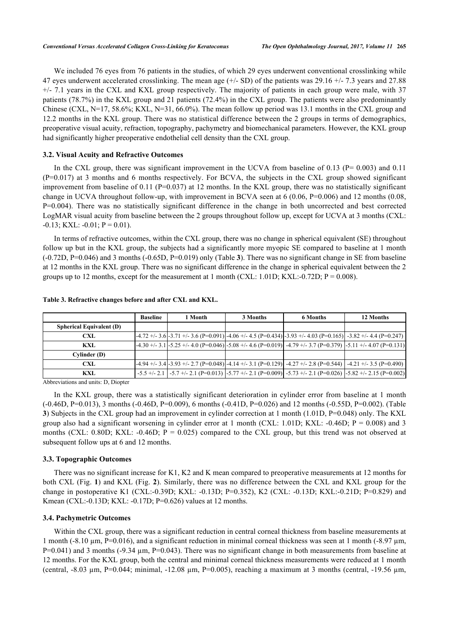We included 76 eyes from 76 patients in the studies, of which 29 eyes underwent conventional crosslinking while 47 eyes underwent accelerated crosslinking. The mean age  $(+/- SD)$  of the patients was 29.16  $+/- 7.3$  years and 27.88 +/- 7.1 years in the CXL and KXL group respectively. The majority of patients in each group were male, with 37 patients (78.7%) in the KXL group and 21 patients (72.4%) in the CXL group. The patients were also predominantly Chinese (CXL, N=17, 58.6%; KXL, N=31, 66.0%). The mean follow up period was 13.1 months in the CXL group and 12.2 months in the KXL group. There was no statistical difference between the 2 groups in terms of demographics, preoperative visual acuity, refraction, topography, pachymetry and biomechanical parameters. However, the KXL group had significantly higher preoperative endothelial cell density than the CXL group.

### **3.2. Visual Acuity and Refractive Outcomes**

In the CXL group, there was significant improvement in the UCVA from baseline of 0.13 ( $P = 0.003$ ) and 0.11 (P=0.017) at 3 months and 6 months respectively. For BCVA, the subjects in the CXL group showed significant improvement from baseline of 0.11 (P=0.037) at 12 months. In the KXL group, there was no statistically significant change in UCVA throughout follow-up, with improvement in BCVA seen at  $6(0.06, P=0.006)$  and 12 months  $(0.08, P=0.006)$ P=0.004). There was no statistically significant difference in the change in both uncorrected and best corrected LogMAR visual acuity from baseline between the 2 groups throughout follow up, except for UCVA at 3 months (CXL:  $-0.13$ ; KXL:  $-0.01$ ; P = 0.01).

In terms of refractive outcomes, within the CXL group, there was no change in spherical equivalent (SE) throughout follow up but in the KXL group, the subjects had a significantly more myopic SE compared to baseline at 1 month (-0.72D, P=0.046) and 3 months (-0.65D, P=0.019) only (Table **[3](#page-3-0)**). There was no significant change in SE from baseline at 12 months in the KXL group. There was no significant difference in the change in spherical equivalent between the 2 groups up to 12 months, except for the measurement at 1 month (CXL: 1.01D; KXL:-0.72D;  $P = 0.008$ ).

|                                 | <b>Baseline</b> | 1 Month | 3 Months | <b>6 Months</b>                                                                                                                | 12 Months                                                                                                                           |
|---------------------------------|-----------------|---------|----------|--------------------------------------------------------------------------------------------------------------------------------|-------------------------------------------------------------------------------------------------------------------------------------|
| <b>Spherical Equivalent (D)</b> |                 |         |          |                                                                                                                                |                                                                                                                                     |
| <b>CXL</b>                      |                 |         |          | $-4.72 + (-3.6) -3.71 + (-3.6)$ $(P=0.091) - 4.06 + (-4.5)$ $(P=0.434) -3.93 + (-4.03)$ $(P=0.165) -3.82 + (-4.4)$ $(P=0.247)$ |                                                                                                                                     |
| KXL                             |                 |         |          |                                                                                                                                | $-4.30 + (-3.1) -5.25 + (-4.0)$ $(P=0.046)$ $-5.08 + (-4.6)$ $(P=0.019)$ $-4.79 + (-3.7)$ $(P=0.379)$ $-5.11 + (-4.07)$ $(P=0.131)$ |
| Cylinder (D)                    |                 |         |          |                                                                                                                                |                                                                                                                                     |
| <b>CXL</b>                      |                 |         |          |                                                                                                                                | $-4.94 + (-3.4) -3.93 + (-2.7 (P=0.048)) - 4.14 + (-3.1 (P=0.129)) - 4.27 + (-2.8 (P=0.544)) - 4.21 + (-3.5 (P=0.490))$             |
| KXL                             |                 |         |          |                                                                                                                                | $-5.5$ +/- 2.1 $-5.7$ +/- 2.1 $(P=0.013)$ $-5.77$ +/- 2.1 $(P=0.009)$ $-5.73$ +/- 2.1 $(P=0.026)$ $-5.82$ +/- 2.15 $(P=0.002)$      |
| $\mathbf{A}$                    |                 |         |          |                                                                                                                                |                                                                                                                                     |

#### <span id="page-3-0"></span>**Table 3. Refractive changes before and after CXL and KXL.**

Abbreviations and units: D, Diopter

In the KXL group, there was a statistically significant deterioration in cylinder error from baseline at 1 month (-0.46D, P=0.013), 3 months (-0.46D, P=0.009), 6 months (-0.41D, P=0.026) and 12 months (-0.55D, P=0.002). (Table **[3](#page-3-0)**) Subjects in the CXL group had an improvement in cylinder correction at 1 month (1.01D, P=0.048) only. The KXL group also had a significant worsening in cylinder error at 1 month (CXL: 1.01D; KXL:  $-0.46D$ ;  $P = 0.008$ ) and 3 months (CXL: 0.80D; KXL: -0.46D; P = 0.025) compared to the CXL group, but this trend was not observed at subsequent follow ups at 6 and 12 months.

#### **3.3. Topographic Outcomes**

There was no significant increase for K1, K2 and K mean compared to preoperative measurements at 12 months for both CXL (Fig. **[1](#page-4-0)**) and KXL (Fig. **[2](#page-4-1)**). Similarly, there was no difference between the CXL and KXL group for the change in postoperative K1 (CXL:-0.39D; KXL: -0.13D; P=0.352), K2 (CXL: -0.13D; KXL:-0.21D; P=0.829) and Kmean (CXL:-0.13D; KXL: -0.17D; P=0.626) values at 12 months.

#### **3.4. Pachymetric Outcomes**

Within the CXL group, there was a significant reduction in central corneal thickness from baseline measurements at 1 month (-8.10 µm, P=0.016), and a significant reduction in minimal corneal thickness was seen at 1 month (-8.97 µm,  $P=0.041$ ) and 3 months (-9.34 µm, P=0.043). There was no significant change in both measurements from baseline at 12 months. For the KXL group, both the central and minimal corneal thickness measurements were reduced at 1 month (central,  $-8.03 \mu$ m, P=0.044; minimal,  $-12.08 \mu$ m, P=0.005), reaching a maximum at 3 months (central,  $-19.56 \mu$ m,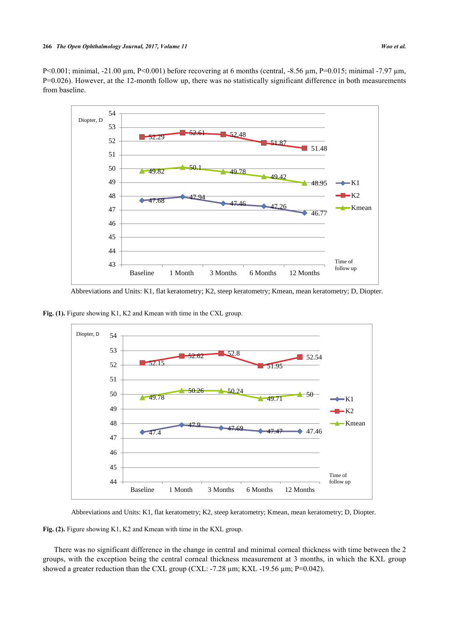<span id="page-4-0"></span>P<0.001; minimal, -21.00 µm, P<0.001) before recovering at 6 months (central, -8.56 µm, P=0.015; minimal -7.97 µm, P=0.026). However, at the 12-month follow up, there was no statistically significant difference in both measurements from baseline.



Abbreviations and Units: K1, flat keratometry; K2, steep keratometry; Kmean, mean keratometry; D, Diopter.

<span id="page-4-1"></span>Fig. (1). Figure showing K1, K2 and Kmean with time in the CXL group.



Abbreviations and Units: K1, flat keratometry; K2, steep keratometry; Kmean, mean keratometry; D, Diopter.

Fig. (2). Figure showing K1, K2 and Kmean with time in the KXL group.

There was no significant difference in the change in central and minimal corneal thickness with time between the 2 groups, with the exception being the central corneal thickness measurement at 3 months, in which the KXL group showed a greater reduction than the CXL group (CXL:  $-7.28 \mu m$ ; KXL $-19.56 \mu m$ ; P=0.042).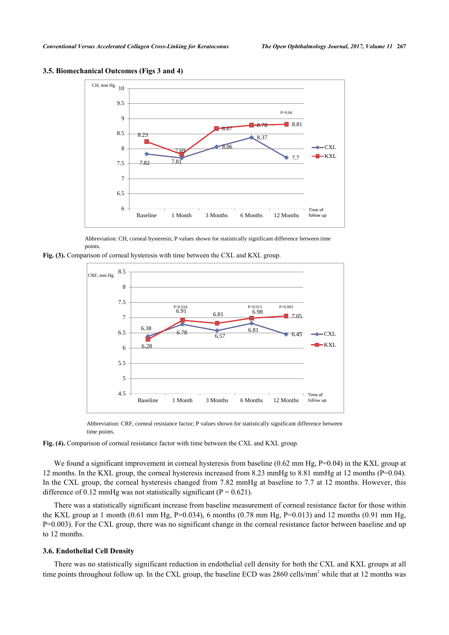

<span id="page-5-0"></span>**3.5. Biomechanical Outcomes (Figs [3](#page-5-0) and [4](#page-5-1))**

Abbreviation: CH, corneal hysteresis; P values shown for statistically significant difference between time points.

<span id="page-5-1"></span>**Fig. (3).** Comparison of corneal hysteresis with time between the CXL and KXL group.



Abbreviation: CRF, corneal resistance factor; P values shown for statistically significant difference between time points.

**Fig. (4).** Comparison of corneal resistance factor with time between the CXL and KXL group.

We found a significant improvement in corneal hysteresis from baseline (0.62 mm Hg, P=0.04) in the KXL group at 12 months. In the KXL group, the corneal hysteresis increased from 8.23 mmHg to 8.81 mmHg at 12 months (P=0.04). In the CXL group, the corneal hysteresis changed from 7.82 mmHg at baseline to 7.7 at 12 months. However, this difference of 0.12 mmHg was not statistically significant ( $P = 0.621$ ).

There was a statistically significant increase from baseline measurement of corneal resistance factor for those within the KXL group at 1 month (0.61 mm Hg, P=0.034), 6 months (0.78 mm Hg, P=0.013) and 12 months (0.91 mm Hg, P=0.003). For the CXL group, there was no significant change in the corneal resistance factor between baseline and up to 12 months.

#### **3.6. Endothelial Cell Density**

There was no statistically significant reduction in endothelial cell density for both the CXL and KXL groups at all time points throughout follow up. In the CXL group, the baseline ECD was 2860 cells/mm<sup>2</sup> while that at 12 months was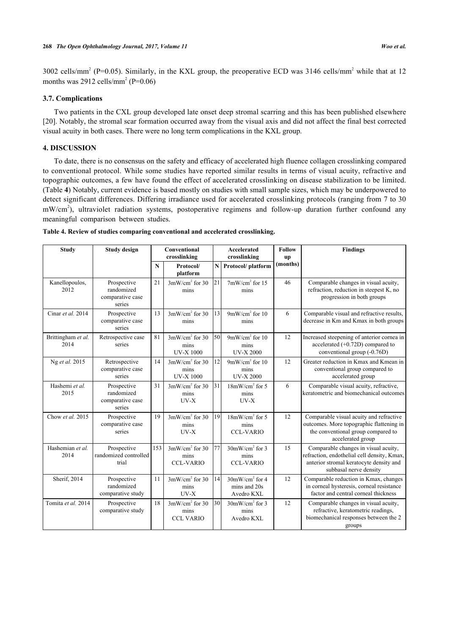3002 cells/mm<sup>2</sup> (P=0.05). Similarly, in the KXL group, the preoperative ECD was 3146 cells/mm<sup>2</sup> while that at 12 months was 2912 cells/mm<sup>2</sup> (P= $0.06$ )

## **3.7. Complications**

Two patients in the CXL group developed late onset deep stromal scarring and this has been published elsewhere [\[20](#page-9-4)]. Notably, the stromal scar formation occurred away from the visual axis and did not affect the final best corrected visual acuity in both cases. There were no long term complications in the KXL group.

## **4. DISCUSSION**

To date, there is no consensus on the safety and efficacy of accelerated high fluence collagen crosslinking compared to conventional protocol. While some studies have reported similar results in terms of visual acuity, refractive and topographic outcomes, a few have found the effect of accelerated crosslinking on disease stabilization to be limited. (Table **[4](#page-6-0)**) Notably, current evidence is based mostly on studies with small sample sizes, which may be underpowered to detect significant differences. Differing irradiance used for accelerated crosslinking protocols (ranging from 7 to 30 mW/cm<sup>2</sup>), ultraviolet radiation systems, postoperative regimens and follow-up duration further confound any meaningful comparison between studies.

<span id="page-6-0"></span>

|  |  | Table 4. Review of studies comparing conventional and accelerated crosslinking. |  |
|--|--|---------------------------------------------------------------------------------|--|
|  |  |                                                                                 |  |

| <b>Study</b>               | <b>Study design</b>                                     | Conventional<br>crosslinking |                                              | <b>Accelerated</b><br>crosslinking |                                                | <b>Follow</b><br>up | <b>Findings</b>                                                                                                                                          |
|----------------------------|---------------------------------------------------------|------------------------------|----------------------------------------------|------------------------------------|------------------------------------------------|---------------------|----------------------------------------------------------------------------------------------------------------------------------------------------------|
|                            |                                                         | N                            | Protocol/<br>platform                        | NI                                 | Protocol/platform                              | (months)            |                                                                                                                                                          |
| Kanellopoulos,<br>2012     | Prospective<br>randomized<br>comparative case<br>series | 21                           | $3mW/cm2$ for 30<br>mins                     | $\overline{21}$                    | $7mW/cm2$ for 15<br>mins                       | 46                  | Comparable changes in visual acuity,<br>refraction, reduction in steepest K, no<br>progression in both groups                                            |
| Cinar et al. 2014          | Prospective<br>comparative case<br>series               | 13                           | $3mW/cm2$ for 30<br>mins                     | 13                                 | $9mW/cm2$ for 10<br>mins                       | 6                   | Comparable visual and refractive results,<br>decrease in Km and Kmax in both groups                                                                      |
| Brittingham et al.<br>2014 | Retrospective case<br>series                            | 81                           | $3mW/cm2$ for 30<br>mins<br><b>UV-X1000</b>  | 50                                 | $9mW/cm2$ for 10<br>mins<br><b>UV-X 2000</b>   | 12                  | Increased steepening of anterior cornea in<br>accelerated $(+0.72D)$ compared to<br>conventional group (-0.76D)                                          |
| Ng et al. 2015             | Retrospective<br>comparative case<br>series             | 14                           | $3mW/cm2$ for 30<br>mins<br><b>UV-X 1000</b> | 12                                 | $9mW/cm2$ for 10<br>mins<br><b>UV-X 2000</b>   | 12                  | Greater reduction in Kmax and Kmean in<br>conventional group compared to<br>accelerated group                                                            |
| Hashemi et al.<br>2015     | Prospective<br>randomized<br>comparative case<br>series | 31                           | $3mW/cm2$ for 30<br>mins<br>$UV-X$           | 31                                 | $18mW/cm2$ for 5<br>mins<br>$UV-X$             | 6                   | Comparable visual acuity, refractive,<br>keratometric and biomechanical outcomes                                                                         |
| Chow et al. 2015           | Prospective<br>comparative case<br>series               | 19                           | $3mW/cm2$ for 30<br>mins<br>$UV-X$           | 19                                 | $18mW/cm2$ for 5<br>mins<br><b>CCL-VARIO</b>   | 12                  | Comparable visual acuity and refractive<br>outcomes. More topographic flattening in<br>the conventional group compared to<br>accelerated group           |
| Hashemian et al.<br>2014   | Prospective<br>randomized controlled<br>trial           | 153                          | $3mW/cm2$ for 30<br>mins<br><b>CCL-VARIO</b> | 77                                 | $30mW/cm2$ for 3<br>mins<br><b>CCL-VARIO</b>   | 15                  | Comparable changes in visual acuity,<br>refraction, endothelial cell density, Kmax,<br>anterior stromal keratocyte density and<br>subbasal nerve density |
| Sherif, 2014               | Prospective<br>randomized<br>comparative study          | 11                           | $3mW/cm2$ for 30<br>mins<br>$UV-X$           | 14                                 | $30mW/cm2$ for 4<br>mins and 20s<br>Avedro KXL | 12                  | Comparable reduction in Kmax, changes<br>in corneal hysteresis, corneal resistance<br>factor and central corneal thickness                               |
| Tomita et al. 2014         | Prospective<br>comparative study                        | 18                           | $3mW/cm2$ for 30<br>mins<br><b>CCL VARIO</b> | 30                                 | $30mW/cm2$ for 3<br>mins<br>Avedro KXL         | 12                  | Comparable changes in visual acuity,<br>refractive, keratometric readings,<br>biomechanical responses between the 2<br>groups                            |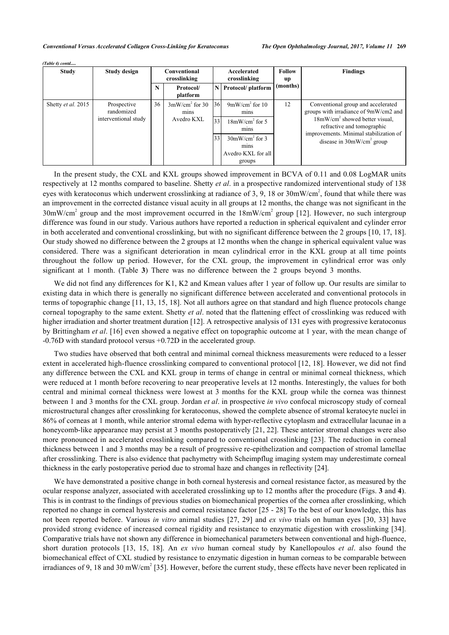*(Table 4) contd.....*

| <b>Study</b>       | <b>Study design</b>                               | Conventional<br>crosslinking |                                        | Accelerated<br>crosslinking |                                                                                                                  | <b>Follow</b><br>up | <b>Findings</b>                                                                                                                                                                                                        |
|--------------------|---------------------------------------------------|------------------------------|----------------------------------------|-----------------------------|------------------------------------------------------------------------------------------------------------------|---------------------|------------------------------------------------------------------------------------------------------------------------------------------------------------------------------------------------------------------------|
|                    |                                                   | N                            | Protocol/<br>platform                  |                             | N Protocol/ platform                                                                                             | (months)            |                                                                                                                                                                                                                        |
| Shetty et al. 2015 | Prospective<br>randomized<br>interventional study | 36                           | $3mW/cm2$ for 30<br>mins<br>Avedro KXL | 36<br>33<br>33              | $9mW/cm2$ for 10<br>mins<br>$18mW/cm2$ for 5<br>mins<br>$30mW/cm2$ for 3<br>mins<br>Avedro KXL for all<br>groups | 12                  | Conventional group and accelerated<br>groups with irradiance of 9mW/cm2 and<br>$18mW/cm2$ showed better visual.<br>refractive and tomographic<br>improvements. Minimal stabilization of<br>disease in $30mW/cm2$ group |

In the present study, the CXL and KXL groups showed improvement in BCVA of 0.11 and 0.08 LogMAR units respectively at 12 months compared to baseline. Shetty *et al*. in a prospective randomized interventional study of 138 eyes with keratoconus which underwent crosslinking at radiance of 3, 9, 18 or 30mW/cm<sup>2</sup>, found that while there was an improvement in the corrected distance visual acuity in all groups at 12 months, the change was not significant in the  $30 \text{mW/cm}^2$  group and the most improvement occurred in the  $18 \text{mW/cm}^2$  group [[12\]](#page-9-5). However, no such intergroup difference was found in our study. Various authors have reported a reduction in spherical equivalent and cylinder error in both accelerated and conventional crosslinking, but with no significant difference between the 2 groups [[10](#page-9-2), [17](#page-9-6), [18\]](#page-9-7). Our study showed no difference between the 2 groups at 12 months when the change in spherical equivalent value was considered. There was a significant deterioration in mean cylindrical error in the KXL group at all time points throughout the follow up period. However, for the CXL group, the improvement in cylindrical error was only significant at 1 month. (Table**3**) There was no difference between the 2 groups beyond 3 months.

We did not find any differences for K1, K2 and Kmean values after 1 year of follow up. Our results are similar to existing data in which there is generally no significant difference between accelerated and conventional protocols in terms of topographic change [[11,](#page-9-8) [13](#page-9-9), [15,](#page-9-10) [18\]](#page-9-7). Not all authors agree on that standard and high fluence protocols change corneal topography to the same extent. Shetty *et al*. noted that the flattening effect of crosslinking was reduced with higher irradiation and shorter treatment duration [[12\]](#page-9-5). A retrospective analysis of 131 eyes with progressive keratoconus by Brittingham *et al*. [\[16](#page-9-11)] even showed a negative effect on topographic outcome at 1 year, with the mean change of -0.76D with standard protocol versus +0.72D in the accelerated group.

Two studies have observed that both central and minimal corneal thickness measurements were reduced to a lesser extent in accelerated high-fluence crosslinking compared to conventional protocol [\[12](#page-9-5), [18\]](#page-9-7). However, we did not find any difference between the CXL and KXL group in terms of change in central or minimal corneal thickness, which were reduced at 1 month before recovering to near preoperative levels at 12 months. Interestingly, the values for both central and minimal corneal thickness were lowest at 3 months for the KXL group while the cornea was thinnest between 1 and 3 months for the CXL group. Jordan *et al*. in prospective *in vivo* confocal microscopy study of corneal microstructural changes after crosslinking for keratoconus, showed the complete absence of stromal keratocyte nuclei in 86% of corneas at 1 month, while anterior stromal edema with hyper-reflective cytoplasm and extracellular lacunae in a honeycomb-like appearance may persist at 3 months postoperatively [[21,](#page-9-12) [22\]](#page-9-13). These anterior stromal changes were also more pronounced in accelerated crosslinking compared to conventional crosslinking [[23](#page-9-14)]. The reduction in corneal thickness between 1 and 3 months may be a result of progressive re-epithelization and compaction of stromal lamellae after crosslinking. There is also evidence that pachymetry with Scheimpflug imaging system may underestimate corneal thickness in the early postoperative period due to stromal haze and changes in reflectivity [[24\]](#page-9-15).

We have demonstrated a positive change in both corneal hysteresis and corneal resistance factor, as measured by the ocular response analyzer, associated with accelerated crosslinking up to 12 months after the procedure (Figs. **[3](#page-5-0)** and **[4](#page-5-1)**). This is in contrast to the findings of previous studies on biomechanical properties of the cornea after crosslinking, which reported no change in corneal hysteresis and corneal resistance factor [[25](#page-9-16) - [28\]](#page-10-0) To the best of our knowledge, this has not been reported before. Various *in vitro* animal studies [[27,](#page-10-1) [29](#page-10-2)] and *ex vivo* trials on human eyes [[30,](#page-10-3) [33](#page-10-4)] have provided strong evidence of increased corneal rigidity and resistance to enzymatic digestion with crosslinking [\[34\]](#page-10-5). Comparative trials have not shown any difference in biomechanical parameters between conventional and high-fluence, short duration protocols[[13](#page-9-9), [15,](#page-9-10) [18](#page-9-7)]. An *ex vivo* human corneal study by Kanellopoulos *et al*. also found the biomechanical effect of CXL studied by resistance to enzymatic digestion in human corneas to be comparable between irradiances of 9, 18 and 30 mW/cm<sup>2</sup> [\[35](#page-10-6)]. However, before the current study, these effects have never been replicated in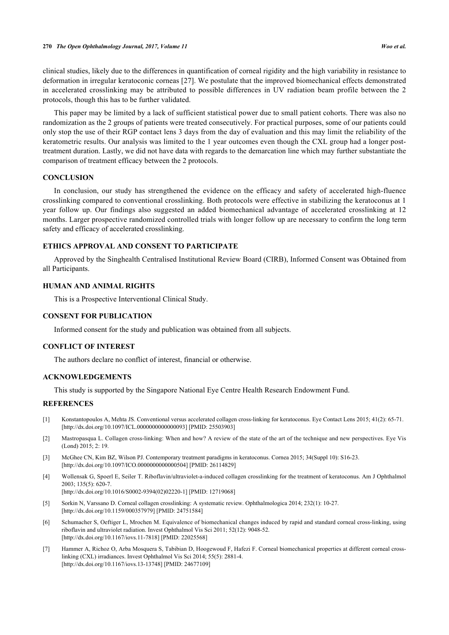clinical studies, likely due to the differences in quantification of corneal rigidity and the high variability in resistance to deformation in irregular keratoconic corneas [[27\]](#page-10-1). We postulate that the improved biomechanical effects demonstrated in accelerated crosslinking may be attributed to possible differences in UV radiation beam profile between the 2 protocols, though this has to be further validated.

This paper may be limited by a lack of sufficient statistical power due to small patient cohorts. There was also no randomization as the 2 groups of patients were treated consecutively. For practical purposes, some of our patients could only stop the use of their RGP contact lens 3 days from the day of evaluation and this may limit the reliability of the keratometric results. Our analysis was limited to the 1 year outcomes even though the CXL group had a longer posttreatment duration. Lastly, we did not have data with regards to the demarcation line which may further substantiate the comparison of treatment efficacy between the 2 protocols.

#### **CONCLUSION**

In conclusion, our study has strengthened the evidence on the efficacy and safety of accelerated high-fluence crosslinking compared to conventional crosslinking. Both protocols were effective in stabilizing the keratoconus at 1 year follow up. Our findings also suggested an added biomechanical advantage of accelerated crosslinking at 12 months. Larger prospective randomized controlled trials with longer follow up are necessary to confirm the long term safety and efficacy of accelerated crosslinking.

#### **ETHICS APPROVAL AND CONSENT TO PARTICIPATE**

Approved by the Singhealth Centralised Institutional Review Board (CIRB), Informed Consent was Obtained from all Participants.

### **HUMAN AND ANIMAL RIGHTS**

This is a Prospective Interventional Clinical Study.

#### **CONSENT FOR PUBLICATION**

Informed consent for the study and publication was obtained from all subjects.

#### **CONFLICT OF INTEREST**

The authors declare no conflict of interest, financial or otherwise.

## **ACKNOWLEDGEMENTS**

This study is supported by the Singapore National Eye Centre Health Research Endowment Fund.

#### **REFERENCES**

- <span id="page-8-0"></span>[1] Konstantopoulos A, Mehta JS. Conventional versus accelerated collagen cross-linking for keratoconus. Eye Contact Lens 2015; 41(2): 65-71. [\[http://dx.doi.org/10.1097/ICL.0000000000000093\]](http://dx.doi.org/10.1097/ICL.0000000000000093) [PMID: [25503903](http://www.ncbi.nlm.nih.gov/pubmed/25503903)]
- <span id="page-8-3"></span>[2] Mastropasqua L. Collagen cross-linking: When and how? A review of the state of the art of the technique and new perspectives. Eye Vis (Lond) 2015; 2: 19.
- <span id="page-8-1"></span>[3] McGhee CN, Kim BZ, Wilson PJ. Contemporary treatment paradigms in keratoconus. Cornea 2015; 34(Suppl 10): S16-23. [\[http://dx.doi.org/10.1097/ICO.0000000000000504\]](http://dx.doi.org/10.1097/ICO.0000000000000504) [PMID: [26114829](http://www.ncbi.nlm.nih.gov/pubmed/26114829)]
- <span id="page-8-2"></span>[4] Wollensak G, Spoerl E, Seiler T. Riboflavin/ultraviolet-a-induced collagen crosslinking for the treatment of keratoconus. Am J Ophthalmol 2003; 135(5): 620-7. [\[http://dx.doi.org/10.1016/S0002-9394\(02\)02220-1\]](http://dx.doi.org/10.1016/S0002-9394(02)02220-1) [PMID: [12719068](http://www.ncbi.nlm.nih.gov/pubmed/12719068)]
- <span id="page-8-4"></span>[5] Sorkin N, Varssano D. Corneal collagen crosslinking: A systematic review. Ophthalmologica 2014; 232(1): 10-27. [\[http://dx.doi.org/10.1159/000357979\]](http://dx.doi.org/10.1159/000357979) [PMID: [24751584](http://www.ncbi.nlm.nih.gov/pubmed/24751584)]
- <span id="page-8-5"></span>[6] Schumacher S, Oeftiger L, Mrochen M. Equivalence of biomechanical changes induced by rapid and standard corneal cross-linking, using riboflavin and ultraviolet radiation. Invest Ophthalmol Vis Sci 2011; 52(12): 9048-52. [\[http://dx.doi.org/10.1167/iovs.11-7818\]](http://dx.doi.org/10.1167/iovs.11-7818) [PMID: [22025568](http://www.ncbi.nlm.nih.gov/pubmed/22025568)]
- <span id="page-8-6"></span>[7] Hammer A, Richoz O, Arba Mosquera S, Tabibian D, Hoogewoud F, Hafezi F. Corneal biomechanical properties at different corneal crosslinking (CXL) irradiances. Invest Ophthalmol Vis Sci 2014; 55(5): 2881-4. [\[http://dx.doi.org/10.1167/iovs.13-13748\]](http://dx.doi.org/10.1167/iovs.13-13748) [PMID: [24677109](http://www.ncbi.nlm.nih.gov/pubmed/24677109)]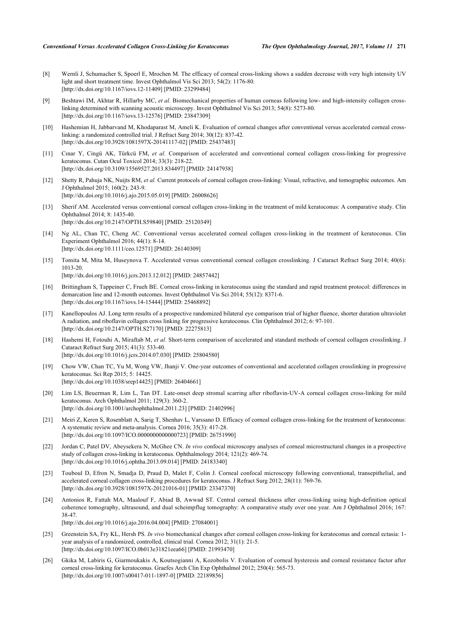- <span id="page-9-0"></span>[8] Wernli J, Schumacher S, Spoerl E, Mrochen M. The efficacy of corneal cross-linking shows a sudden decrease with very high intensity UV light and short treatment time. Invest Ophthalmol Vis Sci 2013; 54(2): 1176-80. [\[http://dx.doi.org/10.1167/iovs.12-11409\]](http://dx.doi.org/10.1167/iovs.12-11409) [PMID: [23299484](http://www.ncbi.nlm.nih.gov/pubmed/23299484)]
- <span id="page-9-1"></span>[9] Beshtawi IM, Akhtar R, Hillarby MC, *et al.* Biomechanical properties of human corneas following low- and high-intensity collagen crosslinking determined with scanning acoustic microscopy. Invest Ophthalmol Vis Sci 2013; 54(8): 5273-80. [\[http://dx.doi.org/10.1167/iovs.13-12576\]](http://dx.doi.org/10.1167/iovs.13-12576) [PMID: [23847309](http://www.ncbi.nlm.nih.gov/pubmed/23847309)]
- <span id="page-9-2"></span>[10] Hashemian H, Jabbarvand M, Khodaparast M, Ameli K. Evaluation of corneal changes after conventional versus accelerated corneal crosslinking: a randomized controlled trial. J Refract Surg 2014; 30(12): 837-42. [\[http://dx.doi.org/10.3928/1081597X-20141117-02\]](http://dx.doi.org/10.3928/1081597X-20141117-02) [PMID: [25437483](http://www.ncbi.nlm.nih.gov/pubmed/25437483)]
- <span id="page-9-8"></span>[11] Cınar Y, Cingü AK, Türkcü FM, *et al.* Comparison of accelerated and conventional corneal collagen cross-linking for progressive keratoconus. Cutan Ocul Toxicol 2014; 33(3): 218-22. [\[http://dx.doi.org/10.3109/15569527.2013.834497\]](http://dx.doi.org/10.3109/15569527.2013.834497) [PMID: [24147938](http://www.ncbi.nlm.nih.gov/pubmed/24147938)]
- <span id="page-9-5"></span>[12] Shetty R, Pahuja NK, Nuijts RM, *et al.* Current protocols of corneal collagen cross-linking: Visual, refractive, and tomographic outcomes. Am J Ophthalmol 2015; 160(2): 243-9. [\[http://dx.doi.org/10.1016/j.ajo.2015.05.019\]](http://dx.doi.org/10.1016/j.ajo.2015.05.019) [PMID: [26008626](http://www.ncbi.nlm.nih.gov/pubmed/26008626)]
- <span id="page-9-9"></span>[13] Sherif AM. Accelerated versus conventional corneal collagen cross-linking in the treatment of mild keratoconus: A comparative study. Clin Ophthalmol 2014; 8: 1435-40. [\[http://dx.doi.org/10.2147/OPTH.S59840](http://dx.doi.org/10.2147/OPTH.S59840)] [PMID: [25120349\]](http://www.ncbi.nlm.nih.gov/pubmed/25120349)
- [14] Ng AL, Chan TC, Cheng AC. Conventional versus accelerated corneal collagen cross-linking in the treatment of keratoconus. Clin Experiment Ophthalmol 2016; 44(1): 8-14. [\[http://dx.doi.org/10.1111/ceo.12571\]](http://dx.doi.org/10.1111/ceo.12571) [PMID: [26140309](http://www.ncbi.nlm.nih.gov/pubmed/26140309)]
- <span id="page-9-10"></span>[15] Tomita M, Mita M, Huseynova T. Accelerated versus conventional corneal collagen crosslinking. J Cataract Refract Surg 2014; 40(6): 1013-20. [\[http://dx.doi.org/10.1016/j.jcrs.2013.12.012\]](http://dx.doi.org/10.1016/j.jcrs.2013.12.012) [PMID: [24857442](http://www.ncbi.nlm.nih.gov/pubmed/24857442)]
- <span id="page-9-11"></span>[16] Brittingham S, Tappeiner C, Frueh BE. Corneal cross-linking in keratoconus using the standard and rapid treatment protocol: differences in demarcation line and 12-month outcomes. Invest Ophthalmol Vis Sci 2014; 55(12): 8371-6. [\[http://dx.doi.org/10.1167/iovs.14-15444\]](http://dx.doi.org/10.1167/iovs.14-15444) [PMID: [25468892](http://www.ncbi.nlm.nih.gov/pubmed/25468892)]
- <span id="page-9-6"></span>[17] Kanellopoulos AJ. Long term results of a prospective randomized bilateral eye comparison trial of higher fluence, shorter duration ultraviolet A radiation, and riboflavin collagen cross linking for progressive keratoconus. Clin Ophthalmol 2012; 6: 97-101. [\[http://dx.doi.org/10.2147/OPTH.S27170](http://dx.doi.org/10.2147/OPTH.S27170)] [PMID: [22275813\]](http://www.ncbi.nlm.nih.gov/pubmed/22275813)
- <span id="page-9-7"></span>[18] Hashemi H, Fotouhi A, Miraftab M, *et al.* Short-term comparison of accelerated and standard methods of corneal collagen crosslinking. J Cataract Refract Surg 2015; 41(3): 533-40. [\[http://dx.doi.org/10.1016/j.jcrs.2014.07.030\]](http://dx.doi.org/10.1016/j.jcrs.2014.07.030) [PMID: [25804580](http://www.ncbi.nlm.nih.gov/pubmed/25804580)]
- <span id="page-9-3"></span>[19] Chow VW, Chan TC, Yu M, Wong VW, Jhanji V. One-year outcomes of conventional and accelerated collagen crosslinking in progressive keratoconus. Sci Rep 2015; 5: 14425. [\[http://dx.doi.org/10.1038/srep14425](http://dx.doi.org/10.1038/srep14425)] [PMID: [26404661\]](http://www.ncbi.nlm.nih.gov/pubmed/26404661)
- <span id="page-9-4"></span>[20] Lim LS, Beuerman R, Lim L, Tan DT. Late-onset deep stromal scarring after riboflavin-UV-A corneal collagen cross-linking for mild keratoconus. Arch Ophthalmol 2011; 129(3): 360-2. [\[http://dx.doi.org/10.1001/archophthalmol.2011.23](http://dx.doi.org/10.1001/archophthalmol.2011.23)] [PMID: [21402996\]](http://www.ncbi.nlm.nih.gov/pubmed/21402996)
- <span id="page-9-12"></span>[21] Meiri Z, Keren S, Rosenblatt A, Sarig T, Shenhav L, Varssano D. Efficacy of corneal collagen cross-linking for the treatment of keratoconus: A systematic review and meta-analysis. Cornea 2016; 35(3): 417-28. [\[http://dx.doi.org/10.1097/ICO.0000000000000723\]](http://dx.doi.org/10.1097/ICO.0000000000000723) [PMID: [26751990](http://www.ncbi.nlm.nih.gov/pubmed/26751990)]
- <span id="page-9-13"></span>[22] Jordan C, Patel DV, Abeysekera N, McGhee CN. *In vivo* confocal microscopy analyses of corneal microstructural changes in a prospective study of collagen cross-linking in keratoconus. Ophthalmology 2014; 121(2): 469-74. [\[http://dx.doi.org/10.1016/j.ophtha.2013.09.014\]](http://dx.doi.org/10.1016/j.ophtha.2013.09.014) [PMID: [24183340](http://www.ncbi.nlm.nih.gov/pubmed/24183340)]
- <span id="page-9-14"></span>[23] Touboul D, Efron N, Smadja D, Praud D, Malet F, Colin J. Corneal confocal microscopy following conventional, transepithelial, and accelerated corneal collagen cross-linking procedures for keratoconus. J Refract Surg 2012; 28(11): 769-76. [\[http://dx.doi.org/10.3928/1081597X-20121016-01\]](http://dx.doi.org/10.3928/1081597X-20121016-01) [PMID: [23347370](http://www.ncbi.nlm.nih.gov/pubmed/23347370)]
- <span id="page-9-15"></span>[24] Antonios R, Fattah MA, Maalouf F, Abiad B, Awwad ST. Central corneal thickness after cross-linking using high-definition optical coherence tomography, ultrasound, and dual scheimpflug tomography: A comparative study over one year. Am J Ophthalmol 2016; 167: 38-47. [\[http://dx.doi.org/10.1016/j.ajo.2016.04.004\]](http://dx.doi.org/10.1016/j.ajo.2016.04.004) [PMID: [27084001](http://www.ncbi.nlm.nih.gov/pubmed/27084001)]
- <span id="page-9-16"></span>[25] Greenstein SA, Fry KL, Hersh PS. *In vivo* biomechanical changes after corneal collagen cross-linking for keratoconus and corneal ectasia: 1 year analysis of a randomized, controlled, clinical trial. Cornea 2012; 31(1): 21-5. [\[http://dx.doi.org/10.1097/ICO.0b013e31821eea66\]](http://dx.doi.org/10.1097/ICO.0b013e31821eea66) [PMID: [21993470](http://www.ncbi.nlm.nih.gov/pubmed/21993470)]
- [26] Gkika M, Labiris G, Giarmoukakis A, Koutsogianni A, Kozobolis V. Evaluation of corneal hysteresis and corneal resistance factor after corneal cross-linking for keratoconus. Graefes Arch Clin Exp Ophthalmol 2012; 250(4): 565-73. [\[http://dx.doi.org/10.1007/s00417-011-1897-0\]](http://dx.doi.org/10.1007/s00417-011-1897-0) [PMID: [22189856](http://www.ncbi.nlm.nih.gov/pubmed/22189856)]